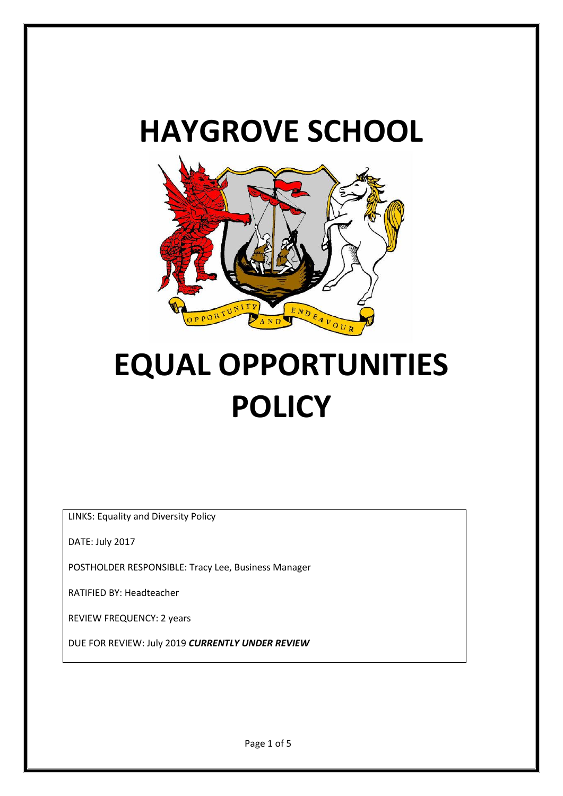# **HAYGROVE SCHOOL**



# **EQUAL OPPORTUNITIES POLICY**

LINKS: Equality and Diversity Policy

DATE: July 2017

POSTHOLDER RESPONSIBLE: Tracy Lee, Business Manager

RATIFIED BY: Headteacher

REVIEW FREQUENCY: 2 years

DUE FOR REVIEW: July 2019 *CURRENTLY UNDER REVIEW*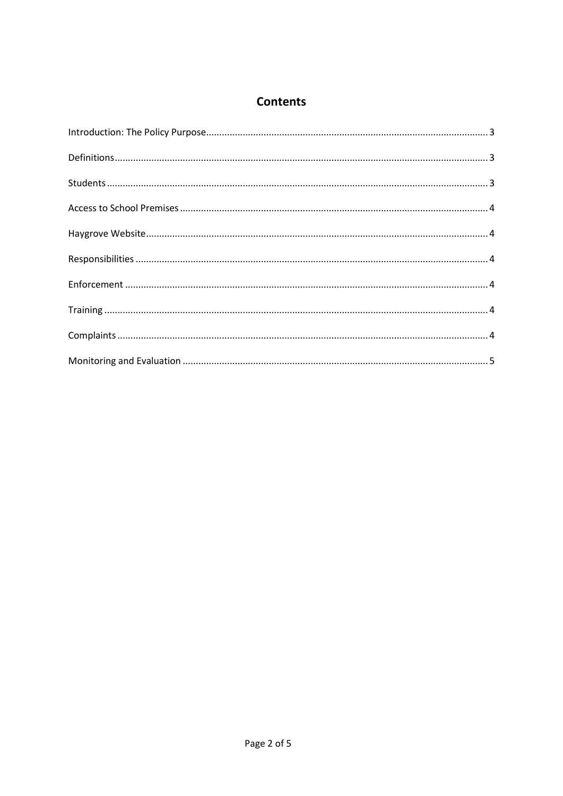## **Contents**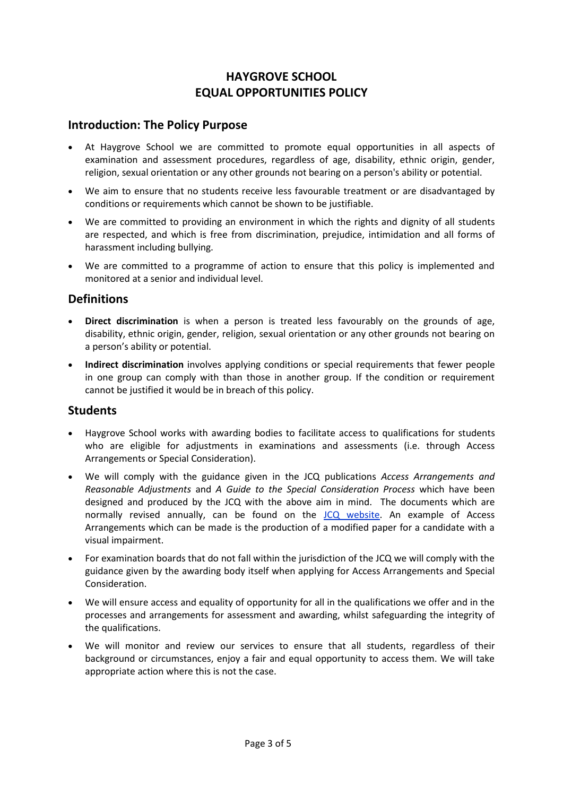## **HAYGROVE SCHOOL EQUAL OPPORTUNITIES POLICY**

#### <span id="page-2-0"></span>**Introduction: The Policy Purpose**

- At Haygrove School we are committed to promote equal opportunities in all aspects of examination and assessment procedures, regardless of age, disability, ethnic origin, gender, religion, sexual orientation or any other grounds not bearing on a person's ability or potential.
- We aim to ensure that no students receive less favourable treatment or are disadvantaged by conditions or requirements which cannot be shown to be justifiable.
- We are committed to providing an environment in which the rights and dignity of all students are respected, and which is free from discrimination, prejudice, intimidation and all forms of harassment including bullying.
- We are committed to a programme of action to ensure that this policy is implemented and monitored at a senior and individual level.

### <span id="page-2-1"></span>**Definitions**

- **Direct discrimination** is when a person is treated less favourably on the grounds of age, disability, ethnic origin, gender, religion, sexual orientation or any other grounds not bearing on a person's ability or potential.
- **Indirect discrimination** involves applying conditions or special requirements that fewer people in one group can comply with than those in another group. If the condition or requirement cannot be justified it would be in breach of this policy.

#### <span id="page-2-2"></span>**Students**

- Haygrove School works with awarding bodies to facilitate access to qualifications for students who are eligible for adjustments in examinations and assessments (i.e. through Access Arrangements or Special Consideration).
- We will comply with the guidance given in the JCQ publications *Access Arrangements and Reasonable Adjustments* and *A Guide to the Special Consideration Process* which have been designed and produced by the JCQ with the above aim in mind. The documents which are normally revised annually, can be found on the [JCQ website.](http://www.jcq.org.uk/) An example of Access Arrangements which can be made is the production of a modified paper for a candidate with a visual impairment.
- For examination boards that do not fall within the jurisdiction of the JCQ we will comply with the guidance given by the awarding body itself when applying for Access Arrangements and Special Consideration.
- We will ensure access and equality of opportunity for all in the qualifications we offer and in the processes and arrangements for assessment and awarding, whilst safeguarding the integrity of the qualifications.
- We will monitor and review our services to ensure that all students, regardless of their background or circumstances, enjoy a fair and equal opportunity to access them. We will take appropriate action where this is not the case.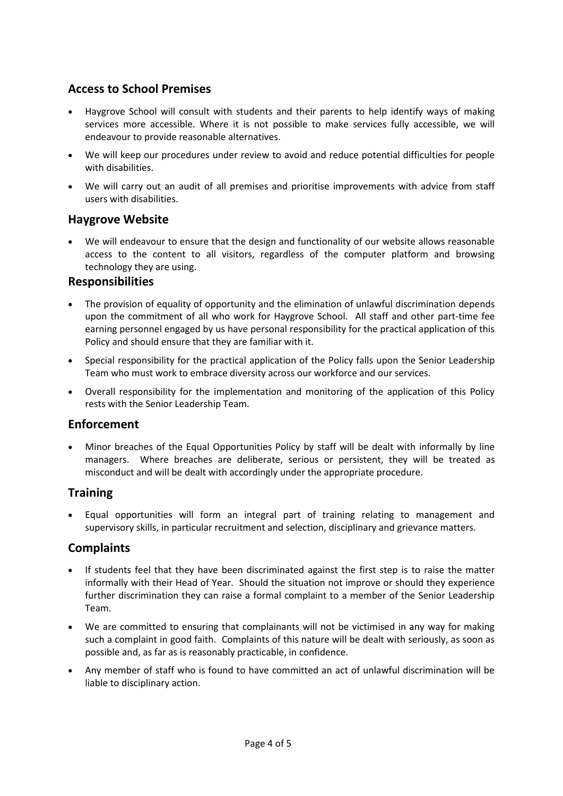## <span id="page-3-0"></span>**Access to School Premises**

- Haygrove School will consult with students and their parents to help identify ways of making services more accessible. Where it is not possible to make services fully accessible, we will endeavour to provide reasonable alternatives.
- We will keep our procedures under review to avoid and reduce potential difficulties for people with disabilities.
- We will carry out an audit of all premises and prioritise improvements with advice from staff users with disabilities.

## <span id="page-3-1"></span>**Haygrove Website**

 We will endeavour to ensure that the design and functionality of our website allows reasonable access to the content to all visitors, regardless of the computer platform and browsing technology they are using.

#### <span id="page-3-2"></span>**Responsibilities**

- The provision of equality of opportunity and the elimination of unlawful discrimination depends upon the commitment of all who work for Haygrove School. All staff and other part-time fee earning personnel engaged by us have personal responsibility for the practical application of this Policy and should ensure that they are familiar with it.
- Special responsibility for the practical application of the Policy falls upon the Senior Leadership Team who must work to embrace diversity across our workforce and our services.
- Overall responsibility for the implementation and monitoring of the application of this Policy rests with the Senior Leadership Team.

## <span id="page-3-3"></span>**Enforcement**

 Minor breaches of the Equal Opportunities Policy by staff will be dealt with informally by line managers. Where breaches are deliberate, serious or persistent, they will be treated as misconduct and will be dealt with accordingly under the appropriate procedure.

## <span id="page-3-4"></span>**Training**

 Equal opportunities will form an integral part of training relating to management and supervisory skills, in particular recruitment and selection, disciplinary and grievance matters.

## <span id="page-3-5"></span>**Complaints**

- If students feel that they have been discriminated against the first step is to raise the matter informally with their Head of Year. Should the situation not improve or should they experience further discrimination they can raise a formal complaint to a member of the Senior Leadership Team.
- We are committed to ensuring that complainants will not be victimised in any way for making such a complaint in good faith. Complaints of this nature will be dealt with seriously, as soon as possible and, as far as is reasonably practicable, in confidence.
- Any member of staff who is found to have committed an act of unlawful discrimination will be liable to disciplinary action.